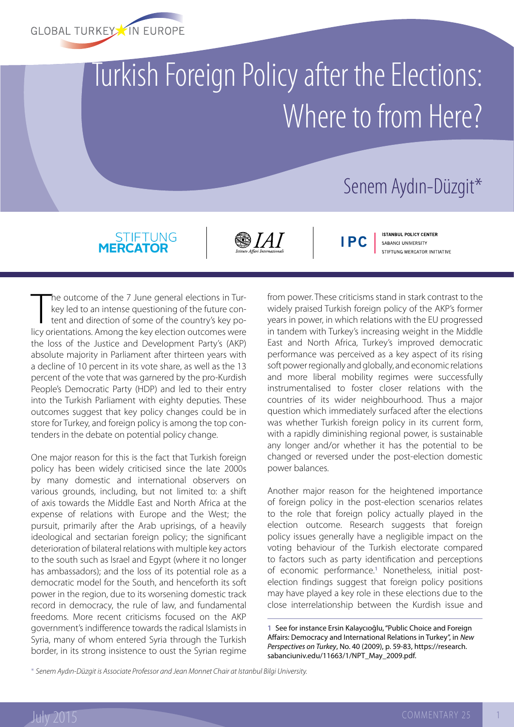

## Turkish Foreign Policy after the Elections: Where to from Here?

## Senem Aydın-Düzgit\*

## STIFTUNG<br>MERCATOR

S 1 A 1

**IPC** 

**ISTANBUL POLICY CENTER** SABANCI UNIVERSITY STIFTUNG MERCATOR INITIATIVE

The outcome of the 7 June general elections in Turkey led to an intense questioning of the future content and direction of some of the country's key policy orientations. Among the key election outcomes were he outcome of the 7 June general elections in Turkey led to an intense questioning of the future content and direction of some of the country's key pothe loss of the Justice and Development Party's (AKP) absolute majority in Parliament after thirteen years with a decline of 10 percent in its vote share, as well as the 13 percent of the vote that was garnered by the pro-Kurdish People's Democratic Party (HDP) and led to their entry into the Turkish Parliament with eighty deputies. These outcomes suggest that key policy changes could be in store for Turkey, and foreign policy is among the top contenders in the debate on potential policy change.

One major reason for this is the fact that Turkish foreign policy has been widely criticised since the late 2000s by many domestic and international observers on various grounds, including, but not limited to: a shift of axis towards the Middle East and North Africa at the expense of relations with Europe and the West; the pursuit, primarily after the Arab uprisings, of a heavily ideological and sectarian foreign policy; the significant deterioration of bilateral relations with multiple key actors to the south such as Israel and Egypt (where it no longer has ambassadors); and the loss of its potential role as a democratic model for the South, and henceforth its soft power in the region, due to its worsening domestic track record in democracy, the rule of law, and fundamental freedoms. More recent criticisms focused on the AKP government's indifference towards the radical Islamists in Syria, many of whom entered Syria through the Turkish border, in its strong insistence to oust the Syrian regime

from power. These criticisms stand in stark contrast to the widely praised Turkish foreign policy of the AKP's former years in power, in which relations with the EU progressed in tandem with Turkey's increasing weight in the Middle East and North Africa, Turkey's improved democratic performance was perceived as a key aspect of its rising soft power regionally and globally, and economic relations and more liberal mobility regimes were successfully instrumentalised to foster closer relations with the countries of its wider neighbourhood. Thus a major question which immediately surfaced after the elections was whether Turkish foreign policy in its current form, with a rapidly diminishing regional power, is sustainable any longer and/or whether it has the potential to be changed or reversed under the post-election domestic power balances.

Another major reason for the heightened importance of foreign policy in the post-election scenarios relates to the role that foreign policy actually played in the election outcome. Research suggests that foreign policy issues generally have a negligible impact on the voting behaviour of the Turkish electorate compared to factors such as party identification and perceptions of economic performance.**<sup>1</sup>** Nonetheless, initial postelection findings suggest that foreign policy positions may have played a key role in these elections due to the close interrelationship between the Kurdish issue and

**1** See for instance Ersin Kalaycıoğlu, "Public Choice and Foreign Affairs: Democracy and International Relations in Turkey", in *New Perspectives on Turkey*, No. 40 (2009), p. 59-83, [https://research.](https://research.sabanciuniv.edu/11663/1/NPT_May_2009.pdf) [sabanciuniv.edu/11663/1/NPT\\_May\\_2009.pdf.](https://research.sabanciuniv.edu/11663/1/NPT_May_2009.pdf)

\* *Senem Aydın-Düzgit is Associate Professor and Jean Monnet Chair at Istanbul Bilgi University.*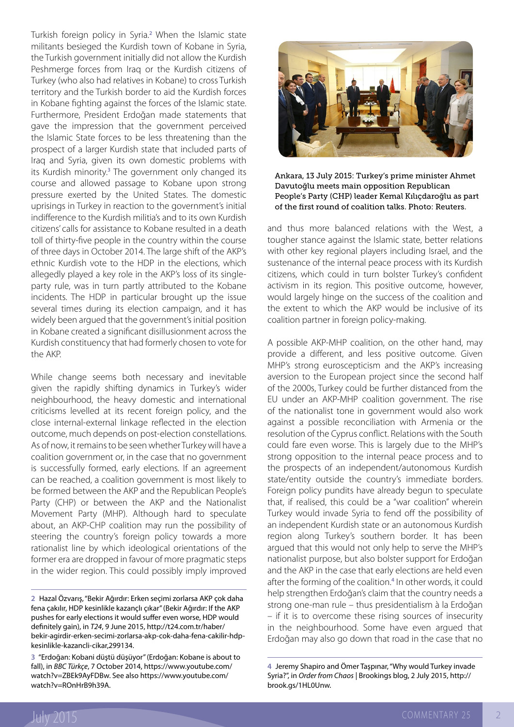Turkish foreign policy in Syria.**<sup>2</sup>** When the Islamic state militants besieged the Kurdish town of Kobane in Syria, the Turkish government initially did not allow the Kurdish Peshmerge forces from Iraq or the Kurdish citizens of Turkey (who also had relatives in Kobane) to cross Turkish territory and the Turkish border to aid the Kurdish forces in Kobane fighting against the forces of the Islamic state. Furthermore, President Erdoğan made statements that gave the impression that the government perceived the Islamic State forces to be less threatening than the prospect of a larger Kurdish state that included parts of Iraq and Syria, given its own domestic problems with its Kurdish minority.**<sup>3</sup>** The government only changed its course and allowed passage to Kobane upon strong pressure exerted by the United States. The domestic uprisings in Turkey in reaction to the government's initial indifference to the Kurdish militia's and to its own Kurdish citizens' calls for assistance to Kobane resulted in a death toll of thirty-five people in the country within the course of three days in October 2014. The large shift of the AKP's ethnic Kurdish vote to the HDP in the elections, which allegedly played a key role in the AKP's loss of its singleparty rule, was in turn partly attributed to the Kobane incidents. The HDP in particular brought up the issue several times during its election campaign, and it has widely been argued that the government's initial position in Kobane created a significant disillusionment across the Kurdish constituency that had formerly chosen to vote for the AKP.

While change seems both necessary and inevitable given the rapidly shifting dynamics in Turkey's wider neighbourhood, the heavy domestic and international criticisms levelled at its recent foreign policy, and the close internal-external linkage reflected in the election outcome, much depends on post-election constellations. As of now, it remains to be seen whether Turkey will have a coalition government or, in the case that no government is successfully formed, early elections. If an agreement can be reached, a coalition government is most likely to be formed between the AKP and the Republican People's Party (CHP) or between the AKP and the Nationalist Movement Party (MHP). Although hard to speculate about, an AKP-CHP coalition may run the possibility of steering the country's foreign policy towards a more rationalist line by which ideological orientations of the former era are dropped in favour of more pragmatic steps in the wider region. This could possibly imply improved



Ankara, 13 July 2015: Turkey's prime minister Ahmet Davutoğlu meets main opposition Republican People's Party (CHP) leader Kemal Kılıçdaroğlu as part of the first round of coalition talks. Photo: Reuters.

and thus more balanced relations with the West, a tougher stance against the Islamic state, better relations with other key regional players including Israel, and the sustenance of the internal peace process with its Kurdish citizens, which could in turn bolster Turkey's confident activism in its region. This positive outcome, however, would largely hinge on the success of the coalition and the extent to which the AKP would be inclusive of its coalition partner in foreign policy-making.

A possible AKP-MHP coalition, on the other hand, may provide a different, and less positive outcome. Given MHP's strong euroscepticism and the AKP's increasing aversion to the European project since the second half of the 2000s, Turkey could be further distanced from the EU under an AKP-MHP coalition government. The rise of the nationalist tone in government would also work against a possible reconciliation with Armenia or the resolution of the Cyprus conflict. Relations with the South could fare even worse. This is largely due to the MHP's strong opposition to the internal peace process and to the prospects of an independent/autonomous Kurdish state/entity outside the country's immediate borders. Foreign policy pundits have already begun to speculate that, if realised, this could be a "war coalition" wherein Turkey would invade Syria to fend off the possibility of an independent Kurdish state or an autonomous Kurdish region along Turkey's southern border. It has been argued that this would not only help to serve the MHP's nationalist purpose, but also bolster support for Erdoğan and the AKP in the case that early elections are held even after the forming of the coalition.<sup>4</sup> In other words, it could help strengthen Erdoğan's claim that the country needs a strong one-man rule – thus presidentialism à la Erdoğan – if it is to overcome these rising sources of insecurity in the neighbourhood. Some have even argued that Erdoğan may also go down that road in the case that no

**<sup>2</sup>** Hazal Özvarış, "Bekir Ağırdır: Erken seçimi zorlarsa AKP çok daha fena çakılır, HDP kesinlikle kazançlı çıkar" (Bekir Ağırdır: If the AKP pushes for early elections it would suffer even worse, HDP would definitely gain), in *T24*, 9 June 2015, [http://t24.com.tr/haber/](http://t24.com.tr/haber/bekir-agirdir-erken-secimi-zorlarsa-akp-cok-daha-fena-cakilir-hdp-kesinlikle-kazancli-cikar,299134) [bekir-agirdir-erken-secimi-zorlarsa-akp-cok-daha-fena-cakilir-hdp](http://t24.com.tr/haber/bekir-agirdir-erken-secimi-zorlarsa-akp-cok-daha-fena-cakilir-hdp-kesinlikle-kazancli-cikar,299134)[kesinlikle-kazancli-cikar,299134.](http://t24.com.tr/haber/bekir-agirdir-erken-secimi-zorlarsa-akp-cok-daha-fena-cakilir-hdp-kesinlikle-kazancli-cikar,299134)

**<sup>3</sup>** "Erdoğan: Kobani düştü düşüyor" (Erdoğan: Kobane is about to fall), in *BBC Türkçe*, 7 October 2014, [https://www.youtube.com/](https://www.youtube.com/watch?v=ZBEk9AyFDBw) [watch?v=ZBEk9AyFDBw.](https://www.youtube.com/watch?v=ZBEk9AyFDBw) See also [https://www.youtube.com/](https://www.youtube.com/watch?v=ROnHrB9h39A) [watch?v=ROnHrB9h39A.](https://www.youtube.com/watch?v=ROnHrB9h39A)

**<sup>4</sup>** Jeremy Shapiro and Ömer Taşpınar, "Why would Turkey invade Syria?", in *Order from Chaos* | Brookings blog, 2 July 2015, [http://](http://brook.gs/1HL0Unw) [brook.gs/1HL0Unw.](http://brook.gs/1HL0Unw)